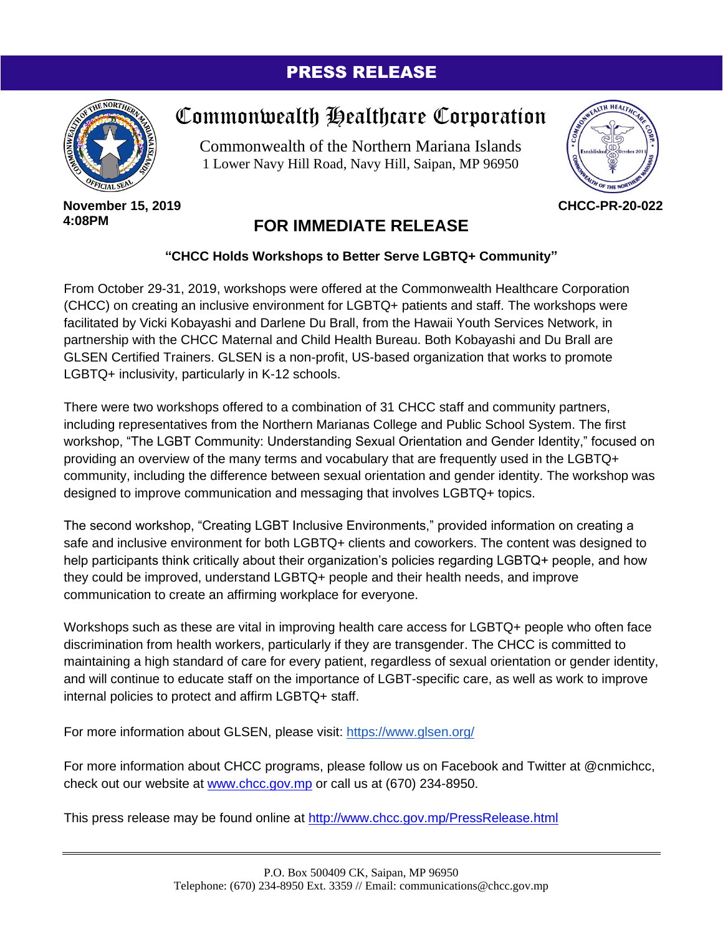### PRESS RELEASE



# Commonwealth Healthcare Corporation

Commonwealth of the Northern Mariana Islands 1 Lower Navy Hill Road, Navy Hill, Saipan, MP 96950



#### **November 15, 2019 4:08PM**

## **FOR IMMEDIATE RELEASE**

### **"CHCC Holds Workshops to Better Serve LGBTQ+ Community"**

From October 29-31, 2019, workshops were offered at the Commonwealth Healthcare Corporation (CHCC) on creating an inclusive environment for LGBTQ+ patients and staff. The workshops were facilitated by Vicki Kobayashi and Darlene Du Brall, from the Hawaii Youth Services Network, in partnership with the CHCC Maternal and Child Health Bureau. Both Kobayashi and Du Brall are GLSEN Certified Trainers. GLSEN is a non-profit, US-based organization that works to promote LGBTQ+ inclusivity, particularly in K-12 schools.

There were two workshops offered to a combination of 31 CHCC staff and community partners, including representatives from the Northern Marianas College and Public School System. The first workshop, "The LGBT Community: Understanding Sexual Orientation and Gender Identity," focused on providing an overview of the many terms and vocabulary that are frequently used in the LGBTQ+ community, including the difference between sexual orientation and gender identity. The workshop was designed to improve communication and messaging that involves LGBTQ+ topics.

The second workshop, "Creating LGBT Inclusive Environments," provided information on creating a safe and inclusive environment for both LGBTQ+ clients and coworkers. The content was designed to help participants think critically about their organization's policies regarding LGBTQ+ people, and how they could be improved, understand LGBTQ+ people and their health needs, and improve communication to create an affirming workplace for everyone.

Workshops such as these are vital in improving health care access for LGBTQ+ people who often face discrimination from health workers, particularly if they are transgender. The CHCC is committed to maintaining a high standard of care for every patient, regardless of sexual orientation or gender identity, and will continue to educate staff on the importance of LGBT-specific care, as well as work to improve internal policies to protect and affirm LGBTQ+ staff.

For more information about GLSEN, please visit:<https://www.glsen.org/>

For more information about CHCC programs, please follow us on Facebook and Twitter at @cnmichcc, check out our website at [www.chcc.gov.mp](http://www.chcc.gov.mp/) or call us at (670) 234-8950.

This press release may be found online at<http://www.chcc.gov.mp/PressRelease.html>